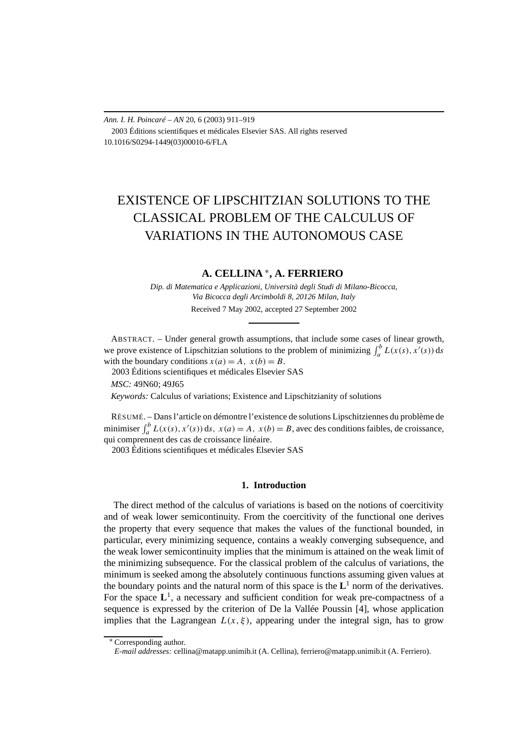### *Ann. I. H. Poincaré – AN* 20, 6 (2003) 911–919 2003 Éditions scientifiques et médicales Elsevier SAS. All rights reserved 10.1016/S0294-1449(03)00010-6/FLA

# EXISTENCE OF LIPSCHITZIAN SOLUTIONS TO THE CLASSICAL PROBLEM OF THE CALCULUS OF VARIATIONS IN THE AUTONOMOUS CASE

# **A. CELLINA** <sup>∗</sup>**, A. FERRIERO**

*Dip. di Matematica e Applicazioni, Università degli Studi di Milano-Bicocca, Via Bicocca degli Arcimboldi 8, 20126 Milan, Italy*

Received 7 May 2002, accepted 27 September 2002

ABSTRACT. – Under general growth assumptions, that include some cases of linear growth, we prove existence of Lipschitzian solutions to the problem of minimizing  $\int_a^b L(x(s), x'(s)) ds$ with the boundary conditions  $x(a) = A$ ,  $x(b) = B$ . 2003 Éditions scientifiques et médicales Elsevier SAS

*MSC:* 49N60; 49J65

*Keywords:* Calculus of variations; Existence and Lipschitzianity of solutions

RÉSUMÉ. – Dans l'article on démontre l'existence de solutions Lipschitziennes du problème de minimiser  $\int_a^b L(x(s), x'(s)) ds$ ,  $x(a) = A$ ,  $x(b) = B$ , avec des conditions faibles, de croissance, qui comprennent des cas de croissance linéaire.

2003 Éditions scientifiques et médicales Elsevier SAS

## **1. Introduction**

The direct method of the calculus of variations is based on the notions of coercitivity and of weak lower semicontinuity. From the coercitivity of the functional one derives the property that every sequence that makes the values of the functional bounded, in particular, every minimizing sequence, contains a weakly converging subsequence, and the weak lower semicontinuity implies that the minimum is attained on the weak limit of the minimizing subsequence. For the classical problem of the calculus of variations, the minimum is seeked among the absolutely continuous functions assuming given values at the boundary points and the natural norm of this space is the  $L<sup>1</sup>$  norm of the derivatives. For the space  $L^1$ , a necessary and sufficient condition for weak pre-compactness of a sequence is expressed by the criterion of De la Vallée Poussin [4], whose application implies that the Lagrangean  $L(x, \xi)$ , appearing under the integral sign, has to grow

<sup>∗</sup> Corresponding author.

*E-mail addresses:* cellina@matapp.unimib.it (A. Cellina), ferriero@matapp.unimib.it (A. Ferriero).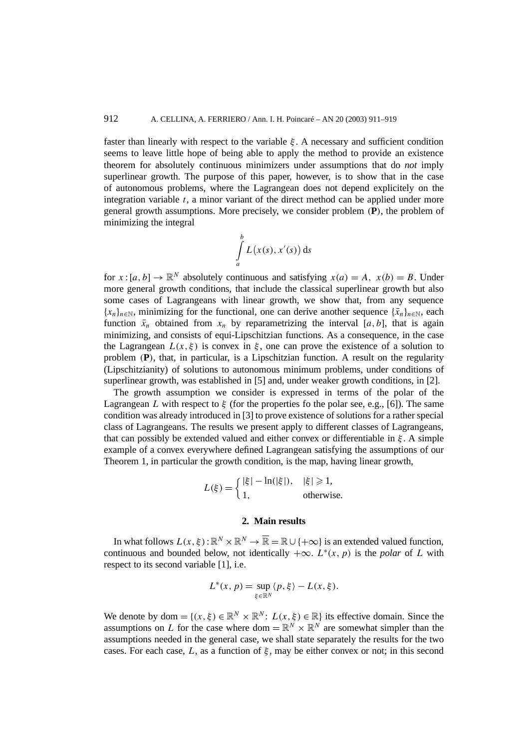faster than linearly with respect to the variable *ξ* . A necessary and sufficient condition seems to leave little hope of being able to apply the method to provide an existence theorem for absolutely continuous minimizers under assumptions that do *not* imply superlinear growth. The purpose of this paper, however, is to show that in the case of autonomous problems, where the Lagrangean does not depend explicitely on the integration variable *t*, a minor variant of the direct method can be applied under more general growth assumptions. More precisely, we consider problem *(***P***)*, the problem of minimizing the integral

$$
\int\limits_a^b L(x(s),x'(s))\,\mathrm{d} s
$$

for  $x:[a, b] \to \mathbb{R}^N$  absolutely continuous and satisfying  $x(a) = A$ ,  $x(b) = B$ . Under more general growth conditions, that include the classical superlinear growth but also some cases of Lagrangeans with linear growth, we show that, from any sequence  ${x_n}_{n \in \mathbb{N}}$ , minimizing for the functional, one can derive another sequence  ${\bar{x}_n}_{n \in \mathbb{N}}$ , each function  $\bar{x}_n$  obtained from  $x_n$  by reparametrizing the interval [*a, b*], that is again minimizing, and consists of equi-Lipschitzian functions. As a consequence, in the case the Lagrangean  $L(x, \xi)$  is convex in  $\xi$ , one can prove the existence of a solution to problem *(***P***)*, that, in particular, is a Lipschitzian function. A result on the regularity (Lipschitzianity) of solutions to autonomous minimum problems, under conditions of superlinear growth, was established in [5] and, under weaker growth conditions, in [2].

The growth assumption we consider is expressed in terms of the polar of the Lagrangean *L* with respect to *ξ* (for the properties fo the polar see, e.g., [6]). The same condition was already introduced in [3] to prove existence of solutions for a rather special class of Lagrangeans. The results we present apply to different classes of Lagrangeans, that can possibly be extended valued and either convex or differentiable in *ξ* . A simple example of a convex everywhere defined Lagrangean satisfying the assumptions of our Theorem 1, in particular the growth condition, is the map, having linear growth,

$$
L(\xi) = \begin{cases} |\xi| - \ln(|\xi|), & |\xi| \ge 1, \\ 1, & \text{otherwise.} \end{cases}
$$

## **2. Main results**

In what follows  $L(x, \xi) : \mathbb{R}^N \times \mathbb{R}^N \to \overline{\mathbb{R}} = \mathbb{R} \cup \{+\infty\}$  is an extended valued function, continuous and bounded below, not identically  $+\infty$ . *L*<sup>\*</sup>*(x, p)* is the *polar* of *L* with respect to its second variable [1], i.e.

$$
L^*(x, p) = \sup_{\xi \in \mathbb{R}^N} \langle p, \xi \rangle - L(x, \xi).
$$

We denote by dom =  $\{(x, \xi) \in \mathbb{R}^N \times \mathbb{R}^N : L(x, \xi) \in \mathbb{R}\}\)$  its effective domain. Since the assumptions on *L* for the case where dom =  $\mathbb{R}^N \times \mathbb{R}^N$  are somewhat simpler than the assumptions needed in the general case, we shall state separately the results for the two cases. For each case, *L*, as a function of *ξ* , may be either convex or not; in this second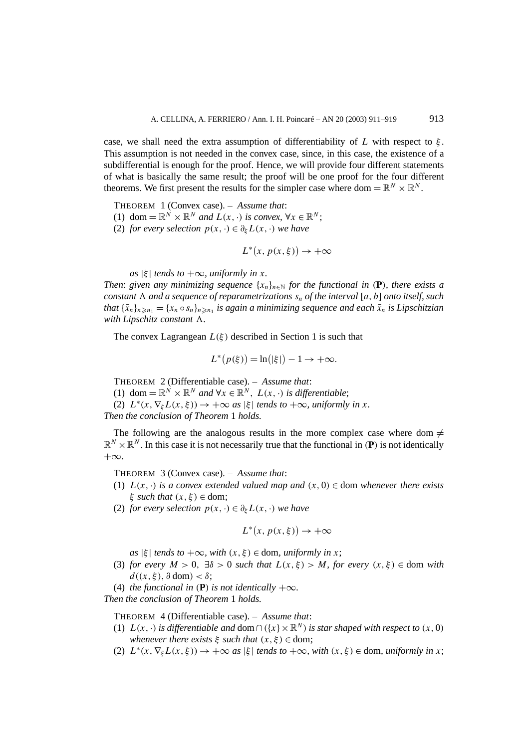case, we shall need the extra assumption of differentiability of  $L$  with respect to  $\xi$ . This assumption is not needed in the convex case, since, in this case, the existence of a subdifferential is enough for the proof. Hence, we will provide four different statements of what is basically the same result; the proof will be one proof for the four different theorems. We first present the results for the simpler case where dom =  $\mathbb{R}^N \times \mathbb{R}^N$ .

THEOREM 1 (Convex case). – *Assume that*:

- (1) dom =  $\mathbb{R}^N \times \mathbb{R}^N$  *and*  $L(x, \cdot)$  *is convex,*  $\forall x \in \mathbb{R}^N$ ;
- (2) *for every selection*  $p(x, \cdot) \in \partial_{\xi} L(x, \cdot)$  *we have*

$$
L^*(x, p(x, \xi)) \to +\infty
$$

 $\int$  *as*  $|\xi|$  *tends to*  $+\infty$ *, uniformly in x.* 

*Then: given any minimizing sequence*  $\{x_n\}_{n\in\mathbb{N}}$  *for the functional in* (P)*, there exists a constant*  $\Lambda$  *and a sequence of reparametrizations*  $s_n$  *of the interval* [a, b] *onto itself, such that*  $\{\bar{x}_n\}_{n \ge n_1} = \{x_n \circ s_n\}_{n \ge n_1}$  *is again a minimizing sequence and each*  $\bar{x}_n$  *is Lipschitzian with Lipschitz constant*  $\Lambda$ *.* 

The convex Lagrangean  $L(\xi)$  described in Section 1 is such that

$$
L^*(p(\xi)) = \ln(|\xi|) - 1 \to +\infty.
$$

THEOREM 2 (Differentiable case). – *Assume that*:

(1) dom =  $\mathbb{R}^N \times \mathbb{R}^N$  *and*  $\forall x \in \mathbb{R}^N$ ,  $L(x, \cdot)$  *is differentiable*;

(2)  $L^*(x, \nabla_{\xi} L(x, \xi)) \rightarrow +\infty$  *as*  $|\xi|$  *tends to*  $+\infty$ *, uniformly in x.* 

*Then the conclusion of Theorem* 1 *holds.*

The following are the analogous results in the more complex case where dom  $\neq$  $\mathbb{R}^N \times \mathbb{R}^N$ . In this case it is not necessarily true that the functional in *(P)* is not identically  $+\infty$ .

THEOREM 3 (Convex case). – *Assume that*:

- (1)  $L(x, \cdot)$  *is a convex extended valued map and*  $(x, 0) \in \text{dom whenever there exists}$ *ξ such that (x, ξ )* ∈ dom;
- (2) *for every selection*  $p(x, \cdot) \in \partial_{\xi} L(x, \cdot)$  *we have*

$$
L^*(x, p(x, \xi)) \to +\infty
$$

 $as \, |\xi|$  *tends to*  $+\infty$ *, with*  $(x, \xi) \in$  dom*, uniformly in x*;

- (3) *for every*  $M > 0$ ,  $\exists \delta > 0$  *such that*  $L(x, \xi) > M$ *, for every*  $(x, \xi) \in \text{dom with}$  $d((x, \xi), \partial \text{ dom}) < \delta$ ;
- (4) *the functional in*  $(P)$  *is not identically*  $+\infty$ *.*

*Then the conclusion of Theorem* 1 *holds.*

THEOREM 4 (Differentiable case). – *Assume that*:

- (1)  $L(x, \cdot)$  *is differentiable and* dom  $\cap$  ({ $x$ }  $\times \mathbb{R}^N$ ) *is star shaped with respect to*  $(x, 0)$ *whenever there exists*  $\xi$  *such that*  $(x, \xi) \in \text{dom}$ ;
- (2)  $L^*(x, \nabla_{\xi} L(x, \xi)) \rightarrow +\infty$  *as*  $|\xi|$  *tends to*  $+\infty$ *, with*  $(x, \xi) \in$  dom*, uniformly in x*;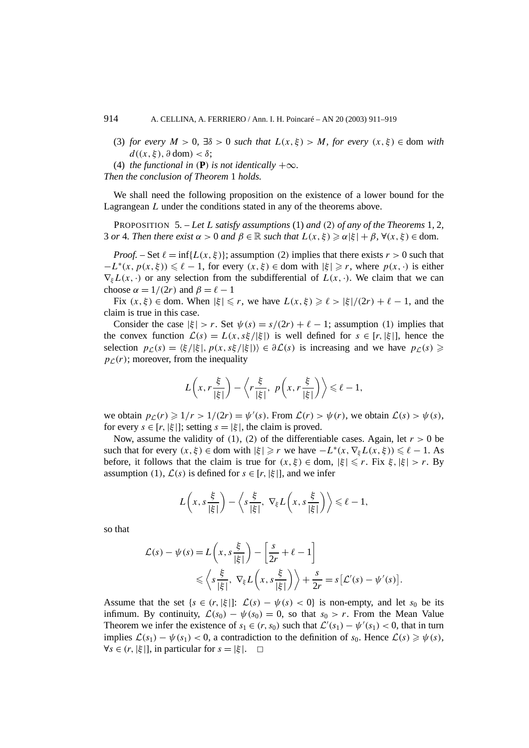(3) *for every*  $M > 0$ ,  $\exists \delta > 0$  *such that*  $L(x, \xi) > M$ , *for every*  $(x, \xi) \in$  dom *with*  $d((x, \xi), \partial \text{ dom}) < \delta$ ;

(4) *the functional in*  $(P)$  *is not identically*  $+\infty$ *.* 

*Then the conclusion of Theorem* 1 *holds.*

We shall need the following proposition on the existence of a lower bound for the Lagrangean *L* under the conditions stated in any of the theorems above.

PROPOSITION 5. – *Let L satisfy assumptions* (1) *and (*2*) of any of the Theorems* 1*,* 2*,* 3 *or* 4*. Then there exist*  $\alpha > 0$  *and*  $\beta \in \mathbb{R}$  *such that*  $L(x, \xi) \geq \alpha |\xi| + \beta$ ,  $\forall (x, \xi) \in$  dom.

*Proof.* – Set  $\ell = \inf\{L(x, \xi)\}\$ ; assumption (2) implies that there exists  $r > 0$  such that  $-L^*(x, p(x, \xi)) \le \ell - 1$ , for every  $(x, \xi) \in$  dom with  $|\xi| \ge r$ , where  $p(x, \cdot)$  is either  $\nabla_{\xi}L(x, \cdot)$  or any selection from the subdifferential of  $L(x, \cdot)$ . We claim that we can choose  $\alpha = 1/(2r)$  and  $\beta = \ell - 1$ 

Fix  $(x, \xi) \in$  dom. When  $|\xi| \le r$ , we have  $L(x, \xi) \ge \ell > |\xi|/(2r) + \ell - 1$ , and the claim is true in this case.

Consider the case  $|\xi| > r$ . Set  $\psi(s) = s/(2r) + \ell - 1$ ; assumption (1) implies that the convex function  $\mathcal{L}(s) = L(x, s\xi/|\xi|)$  is well defined for  $s \in [r, |\xi|]$ , hence the selection  $p_{\mathcal{L}}(s) = \langle \xi / | \xi |, p(x, s\xi / | \xi |) \rangle \in \partial \mathcal{L}(s)$  is increasing and we have  $p_{\mathcal{L}}(s) \geq$  $p_L(r)$ ; moreover, from the inequality

$$
L\left(x, r\frac{\xi}{|\xi|}\right) - \left\langle r\frac{\xi}{|\xi|}, p\left(x, r\frac{\xi}{|\xi|}\right) \right\rangle \leq \ell - 1,
$$

we obtain  $p_{\mathcal{L}}(r) \geq 1/r > 1/(2r) = \psi'(s)$ . From  $\mathcal{L}(r) > \psi(r)$ , we obtain  $\mathcal{L}(s) > \psi(s)$ , for every  $s \in [r, |\xi|]$ ; setting  $s = |\xi|$ , the claim is proved.

Now, assume the validity of (1), (2) of the differentiable cases. Again, let  $r > 0$  be such that for every  $(x, \xi) \in \text{dom with } |\xi| \geq r$  we have  $-L^*(x, \nabla_{\xi}L(x, \xi)) \leq \ell - 1$ . As before, it follows that the claim is true for  $(x, \xi) \in \text{dom}, |\xi| \leq r$ . Fix  $\xi, |\xi| > r$ . By assumption (1),  $\mathcal{L}(s)$  is defined for  $s \in [r, |\xi|]$ , and we infer

$$
L\left(x, s\frac{\xi}{|\xi|}\right) - \left\langle s\frac{\xi}{|\xi|}, \nabla_{\xi} L\left(x, s\frac{\xi}{|\xi|}\right) \right\rangle \leq \ell - 1,
$$

so that

$$
\mathcal{L}(s) - \psi(s) = L\left(x, s\frac{\xi}{|\xi|}\right) - \left[\frac{s}{2r} + \ell - 1\right] \leq \left\langle s\frac{\xi}{|\xi|}, \nabla_{\xi} L\left(x, s\frac{\xi}{|\xi|}\right) \right\rangle + \frac{s}{2r} = s\left[\mathcal{L}'(s) - \psi'(s)\right].
$$

Assume that the set  $\{s \in (r, |\xi|]: \mathcal{L}(s) - \psi(s) < 0\}$  is non-empty, and let  $s_0$  be its infimum. By continuity,  $\mathcal{L}(s_0) - \psi(s_0) = 0$ , so that  $s_0 > r$ . From the Mean Value Theorem we infer the existence of  $s_1 \in (r, s_0)$  such that  $\mathcal{L}'(s_1) - \psi'(s_1) < 0$ , that in turn implies  $\mathcal{L}(s_1) - \psi(s_1) < 0$ , a contradiction to the definition of  $s_0$ . Hence  $\mathcal{L}(s) \geq \psi(s)$ ,  $\forall s \in (r, |\xi|],$  in particular for  $s = |\xi|$ .  $\Box$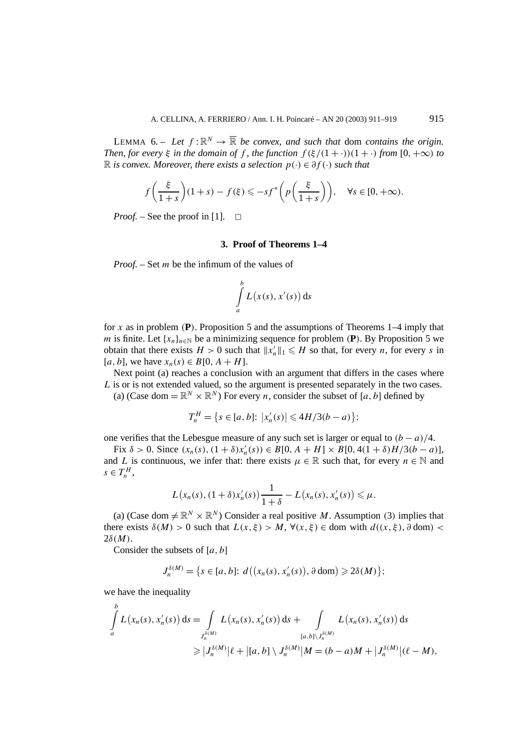LEMMA 6. – Let  $f: \mathbb{R}^N \to \overline{\mathbb{R}}$  be convex, and such that dom contains the origin. *Then, for every*  $\xi$  *in the domain of*  $f$ *, the function*  $f(\xi/(1+\cdot))(1+\cdot)$  *from*  $[0, +\infty)$  *to* R *is convex. Moreover, there exists a selection p(*·*)* ∈ *∂f (*·*) such that*

$$
f\left(\frac{\xi}{1+s}\right)(1+s) - f(\xi) \leqslant -sf^*\left(p\left(\frac{\xi}{1+s}\right)\right), \quad \forall s \in [0, +\infty).
$$

*Proof.* – See the proof in [1].  $\Box$ 

#### **3. Proof of Theorems 1–4**

*Proof. –* Set *m* be the infimum of the values of

$$
\int_a^b L(x(s), x'(s)) \, \mathrm{d} s
$$

for *x* as in problem  $(P)$ . Proposition 5 and the assumptions of Theorems 1–4 imply that *m* is finite. Let  $\{x_n\}_{n\in\mathbb{N}}$  be a minimizing sequence for problem *(P)*. By Proposition 5 we obtain that there exists  $H > 0$  such that  $||x'_n||_1 \le H$  so that, for every *n*, for every *s* in [*a*, *b*], we have *x<sub>n</sub>*(*s*) ∈ *B*[0, *A* + *H*].

Next point (a) reaches a conclusion with an argument that differs in the cases where *L* is or is not extended valued, so the argument is presented separately in the two cases.

(a) (Case dom =  $\mathbb{R}^N \times \mathbb{R}^N$ ) For every *n*, consider the subset of [*a*, *b*] defined by

$$
T_n^H = \{ s \in [a, b] : \left| x'_n(s) \right| \leq 4H/3(b-a) \};
$$

one verifies that the Lebesgue measure of any such set is larger or equal to  $(b - a)/4$ .

 $\text{Fix } \delta > 0. \text{ Since } (x_n(s), (1+\delta)x'_n(s)) \in B[0, A + H] \times B[0, 4(1+\delta)H/3(b-a)],$ and *L* is continuous, we infer that: there exists  $\mu \in \mathbb{R}$  such that, for every  $n \in \mathbb{N}$  and  $s \in T_n^H$ ,

$$
L(x_n(s), (1+\delta)x'_n(s))\frac{1}{1+\delta}-L(x_n(s), x'_n(s))\leqslant \mu.
$$

(a) (Case dom  $\neq \mathbb{R}^N \times \mathbb{R}^N$ ) Consider a real positive *M*. Assumption (3) implies that there exists  $\delta(M) > 0$  such that  $L(x, \xi) > M$ ,  $\forall (x, \xi) \in \text{dom with } d((x, \xi), \partial \text{ dom})$ 2*δ(M)*.

Consider the subsets of [*a, b*]

$$
J_n^{\delta(M)} = \{s \in [a, b]: d((x_n(s), x'_n(s)), \partial \text{ dom}) \geq 2\delta(M)\};
$$

we have the inequality

$$
\int_{a}^{b} L(x_n(s), x'_n(s)) ds = \int_{J_n^{\delta(M)}} L(x_n(s), x'_n(s)) ds + \int_{[a,b] \setminus J_n^{\delta(M)}} L(x_n(s), x'_n(s)) ds
$$
\n
$$
\geq |J_n^{\delta(M)}| \ell + |[a,b] \setminus J_n^{\delta(M)}|M = (b-a)M + |J_n^{\delta(M)}|(\ell - M),
$$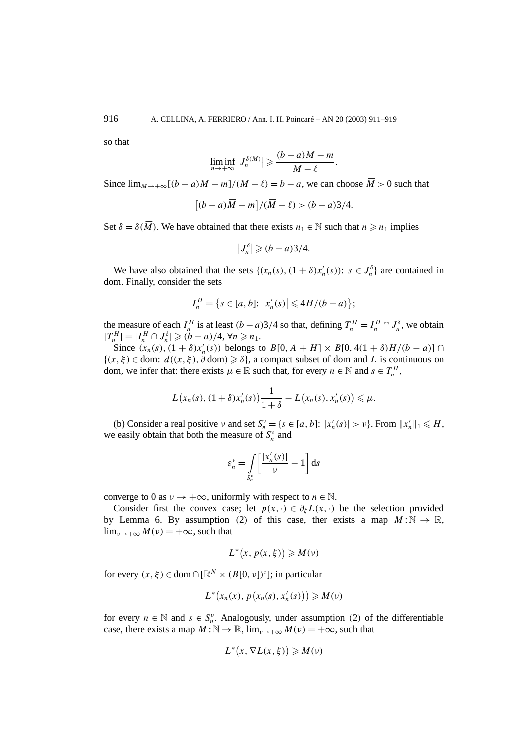so that

$$
\liminf_{n\to+\infty}|J_n^{\delta(M)}|\geqslant\frac{(b-a)M-m}{M-\ell}.
$$

Since  $\lim_{M \to \infty} [(b - a)M - m]/(M - \ell) = b - a$ , we can choose  $\overline{M} > 0$  such that

$$
\left[(b-a)\overline{M}-m\right]/(\overline{M}-\ell)>(b-a)3/4.
$$

Set  $\delta = \delta(\overline{M})$ . We have obtained that there exists  $n_1 \in \mathbb{N}$  such that  $n \geq n_1$  implies

$$
\left|J_n^{\delta}\right| \geqslant (b-a)3/4.
$$

We have also obtained that the sets  $\{(x_n(s), (1+\delta)x'_n(s))\colon s \in J_n^{\delta}\}\)$  are contained in dom. Finally, consider the sets

$$
I_n^H = \{ s \in [a, b] : |x'_n(s)| \leq 4H/(b-a) \};
$$

the measure of each  $I_n^H$  is at least  $(b-a)3/4$  so that, defining  $T_n^H = I_n^H \cap J_n^{\delta}$ , we obtain  $|T_n^H| = |I_n^H \cap J_n^{\delta}| \geq (b - a)/4, \forall n \geq n_1.$ 

Since  $(x_n(s), (1 + \delta)x'_n(s))$  belongs to  $B[0, A + H] \times B[0, 4(1 + \delta)H/(b - a)] \cap$  ${(x, \xi) \in dom: d((x, \xi), \partial dom) ≥ \delta},$  a compact subset of dom and *L* is continuous on dom, we infer that: there exists  $\mu \in \mathbb{R}$  such that, for every  $n \in \mathbb{N}$  and  $s \in T_n^H$ ,

$$
L(x_n(s), (1+\delta)x'_n(s))\frac{1}{1+\delta}-L(x_n(s), x'_n(s))\leq \mu.
$$

(b) Consider a real positive *ν* and set  $S_n^v = \{s \in [a, b] : |x'_n(s)| > v\}$ . From  $||x'_n||_1 \le H$ , we easily obtain that both the measure of  $S_n^v$  and

$$
\varepsilon_n^v = \int\limits_{S_n^v} \left[ \frac{|x'_n(s)|}{v} - 1 \right] \mathrm{d}s
$$

converge to 0 as  $v \to +\infty$ , uniformly with respect to  $n \in \mathbb{N}$ .

Consider first the convex case; let  $p(x, \cdot) \in \partial_{\xi} L(x, \cdot)$  be the selection provided by Lemma 6. By assumption (2) of this case, ther exists a map  $M : \mathbb{N} \to \mathbb{R}$ ,  $\lim_{v \to +\infty} M(v) = +\infty$ , such that

$$
L^*(x, p(x, \xi)) \geq M(\nu)
$$

for every  $(x, \xi) \in \text{dom} \cap [\mathbb{R}^N \times (B[0, \nu])^c]$ ; in particular

$$
L^*(x_n(x), p(x_n(s), x'_n(s))) \geq M(\nu)
$$

for every  $n \in \mathbb{N}$  and  $s \in S_n^{\nu}$ . Analogously, under assumption (2) of the differentiable case, there exists a map  $M : \mathbb{N} \to \mathbb{R}$ ,  $\lim_{v \to +\infty} M(v) = +\infty$ , such that

$$
L^*(x, \nabla L(x, \xi)) \geq M(\nu)
$$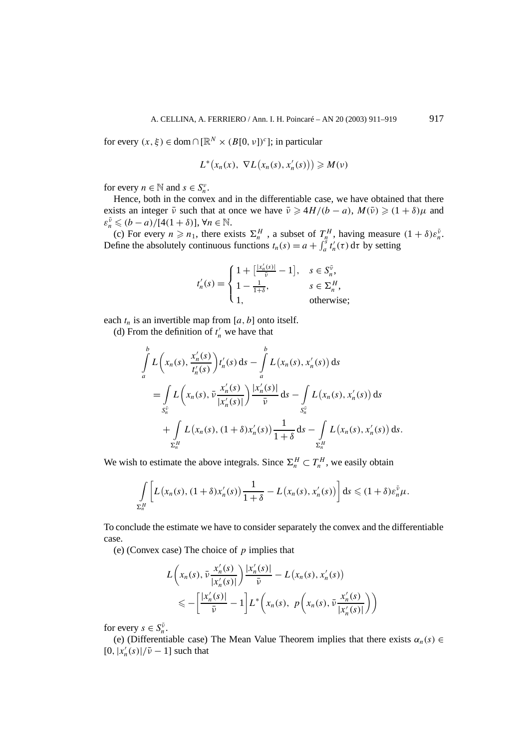for every  $(x, \xi) \in \text{dom} \cap [\mathbb{R}^N \times (B[0, \nu])^c]$ ; in particular

$$
L^*\big(x_n(x),\ \nabla L\big(x_n(s),x'_n(s)\big)\big)\geqslant M(\nu)
$$

for every  $n \in \mathbb{N}$  and  $s \in S_n^{\nu}$ .

Hence, both in the convex and in the differentiable case, we have obtained that there exists an integer  $\bar{\nu}$  such that at once we have  $\bar{\nu} \ge 4H/(b-a)$ ,  $M(\bar{\nu}) \ge (1+\delta)\mu$  and  $\varepsilon_n^{\bar{\nu}} \le (b - a) / [4(1 + \delta)], \forall n \in \mathbb{N}.$ 

(c) For every  $n \ge n_1$ , there exists  $\Sigma_n^H$ , a subset of  $T_n^H$ , having measure  $(1 + \delta)\varepsilon_n^{\bar{\nu}}$ . Define the absolutely continuous functions  $t_n(s) = a + \int_a^s t'_n(\tau) d\tau$  by setting

$$
t'_{n}(s) = \begin{cases} 1 + \left[\frac{|x'_{n}(s)|}{\bar{v}} - 1\right], & s \in S_{n}^{\bar{v}}, \\ 1 - \frac{1}{1+\delta}, & s \in \Sigma_{n}^{H}, \\ 1, & \text{otherwise}; \end{cases}
$$

each  $t_n$  is an invertible map from [ $a$ ,  $b$ ] onto itself.

(d) From the definition of  $t'_n$  we have that

$$
\int_{a}^{b} L\left(x_{n}(s), \frac{x'_{n}(s)}{t'_{n}(s)}\right) t'_{n}(s) ds - \int_{a}^{b} L(x_{n}(s), x'_{n}(s)) ds
$$
\n
$$
= \int_{S_{n}^{\bar{v}}} L\left(x_{n}(s), \bar{\nu} \frac{x'_{n}(s)}{|x'_{n}(s)|}\right) \frac{|x'_{n}(s)|}{\bar{\nu}} ds - \int_{S_{n}^{\bar{v}}} L(x_{n}(s), x'_{n}(s)) ds
$$
\n
$$
+ \int_{\Sigma_{n}^{H}} L(x_{n}(s), (1+\delta)x'_{n}(s)) \frac{1}{1+\delta} ds - \int_{\Sigma_{n}^{H}} L(x_{n}(s), x'_{n}(s)) ds.
$$

We wish to estimate the above integrals. Since  $\Sigma_n^H \subset T_n^H$ , we easily obtain

$$
\int\limits_{\Sigma_n^H}\bigg[L\big(x_n(s),(1+\delta)x'_n(s)\big)\frac{1}{1+\delta}-L\big(x_n(s),x'_n(s)\big)\bigg]\,ds\leqslant(1+\delta)\varepsilon_n^{\bar{\nu}}\mu.
$$

To conclude the estimate we have to consider separately the convex and the differentiable case.

(e) (Convex case) The choice of *p* implies that

$$
L\left(x_n(s), \bar{\nu}\frac{x'_n(s)}{|x'_n(s)|}\right)\frac{|x'_n(s)|}{\bar{\nu}} - L\left(x_n(s), x'_n(s)\right)
$$
  

$$
\leqslant -\left[\frac{|x'_n(s)|}{\bar{\nu}} - 1\right]L^*\left(x_n(s), p\left(x_n(s), \bar{\nu}\frac{x'_n(s)}{|x'_n(s)|}\right)\right)
$$

for every  $s \in S_n^{\bar{\nu}}$ .

(e) (Differentiable case) The Mean Value Theorem implies that there exists  $\alpha_n(s) \in$  $[0, |x'_n(s)|/\bar{v} - 1]$  such that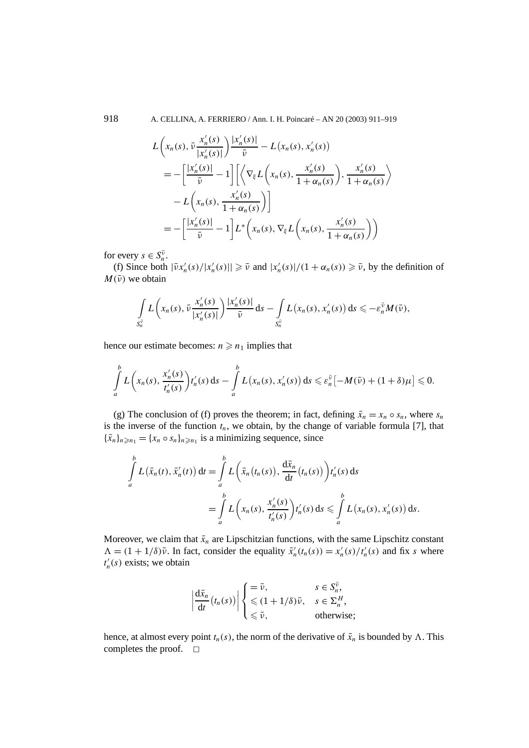918 A. CELLINA, A. FERRIERO / Ann. I. H. Poincaré – AN 20 (2003) 911–919

$$
L\left(x_n(s), \bar{v}\frac{x'_n(s)}{|x'_n(s)|}\right)\frac{|x'_n(s)|}{\bar{v}} - L\left(x_n(s), x'_n(s)\right)
$$
  

$$
= -\left[\frac{|x'_n(s)|}{\bar{v}} - 1\right] \left[\left\langle \nabla_{\xi} L\left(x_n(s), \frac{x'_n(s)}{1 + \alpha_n(s)}\right), \frac{x'_n(s)}{1 + \alpha_n(s)} \right\rangle
$$
  

$$
- L\left(x_n(s), \frac{x'_n(s)}{1 + \alpha_n(s)}\right) \right]
$$
  

$$
= -\left[\frac{|x'_n(s)|}{\bar{v}} - 1\right]L^*\left(x_n(s), \nabla_{\xi} L\left(x_n(s), \frac{x'_n(s)}{1 + \alpha_n(s)}\right)\right)
$$

for every  $s \in S_n^{\bar{\nu}}$ .

(f) Since both  $|\bar{v}x'_n(s)|/|x'_n(s)| \geq \bar{v}$  and  $|x'_n(s)|/(1+\alpha_n(s)) \geq \bar{v}$ , by the definition of  $M(\bar{v})$  we obtain

$$
\int\limits_{S_n^{\bar{\nu}}} L\left(x_n(s),\bar{\nu}\frac{x_n'(s)}{|x_n'(s)|}\right) \frac{|x_n'(s)|}{\bar{\nu}}\,ds - \int\limits_{S_n^{\bar{\nu}}} L\left(x_n(s),x_n'(s)\right) ds \leqslant -\varepsilon_n^{\bar{\nu}} M(\bar{\nu}),
$$

hence our estimate becomes:  $n \geq n_1$  implies that

$$
\int\limits_a^b L\bigg(x_n(s),\frac{x'_n(s)}{t'_n(s)}\bigg) t'_n(s) \, \mathrm{d} s - \int\limits_a^b L\big(x_n(s),x'_n(s)\big) \, \mathrm{d} s \leqslant \varepsilon_n^{\overline{\nu}} \big[-M(\overline{\nu}) + (1+\delta)\mu\big] \leqslant 0.
$$

(g) The conclusion of (f) proves the theorem; in fact, defining  $\bar{x}_n = x_n \circ s_n$ , where  $s_n$ is the inverse of the function  $t_n$ , we obtain, by the change of variable formula [7], that  ${\{\bar{x}_n\}}_{n \ge n_1} = {\{x_n \circ s_n\}}_{n \ge n_1}$  is a minimizing sequence, since

$$
\int_a^b L(\bar{x}_n(t), \bar{x}'_n(t)) dt = \int_a^b L(\bar{x}_n(t_n(s)), \frac{d\bar{x}_n}{dt}(t_n(s))) t'_n(s) ds
$$
  
= 
$$
\int_a^b L(x_n(s), \frac{x'_n(s)}{t'_n(s)}) t'_n(s) ds \leq \int_a^b L(x_n(s), x'_n(s)) ds.
$$

Moreover, we claim that  $\bar{x}_n$  are Lipschitzian functions, with the same Lipschitz constant  $\Lambda = (1 + 1/\delta)\bar{\nu}$ . In fact, consider the equality  $\bar{x}_n'(t_n(s)) = x_n'(s)/t_n'(s)$  and fix *s* where  $t'_n(s)$  exists; we obtain

$$
\left|\frac{d\bar{x}_n}{dt}(t_n(s))\right| \begin{cases} = \bar{\nu}, & s \in S_n^{\bar{\nu}}, \\ \leq (1 + 1/\delta)\bar{\nu}, & s \in \Sigma_n^H, \\ \leq \bar{\nu}, & \text{otherwise}; \end{cases}
$$

hence, at almost every point  $t_n(s)$ , the norm of the derivative of  $\bar{x}_n$  is bounded by  $\Lambda$ . This completes the proof.  $\square$